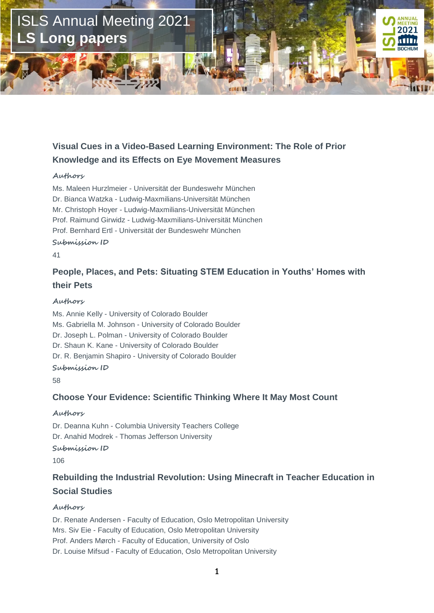

# **Visual Cues in a Video-Based Learning Environment: The Role of Prior Knowledge and its Effects on Eye Movement Measures**

#### **Authors**

Ms. Maleen Hurzlmeier - Universität der Bundeswehr München Dr. Bianca Watzka - Ludwig-Maxmilians-Universität München Mr. Christoph Hoyer - Ludwig-Maxmilians-Universität München Prof. Raimund Girwidz - Ludwig-Maxmilians-Universität München Prof. Bernhard Ertl - Universität der Bundeswehr München

### **Submission ID**

41

# **People, Places, and Pets: Situating STEM Education in Youths' Homes with their Pets**

### **Authors**

Ms. Annie Kelly - University of Colorado Boulder Ms. Gabriella M. Johnson - University of Colorado Boulder Dr. Joseph L. Polman - University of Colorado Boulder Dr. Shaun K. Kane - University of Colorado Boulder Dr. R. Benjamin Shapiro - University of Colorado Boulder **Submission ID**

58

### **Choose Your Evidence: Scientific Thinking Where It May Most Count**

#### **Authors**

Dr. Deanna Kuhn - Columbia University Teachers College Dr. Anahid Modrek - Thomas Jefferson University

### **Submission ID**

106

# **Rebuilding the Industrial Revolution: Using Minecraft in Teacher Education in Social Studies**

### **Authors**

Dr. Renate Andersen - Faculty of Education, Oslo Metropolitan University Mrs. Siv Eie - Faculty of Education, Oslo Metropolitan University Prof. Anders Mørch - Faculty of Education, University of Oslo Dr. Louise Mifsud - Faculty of Education, Oslo Metropolitan University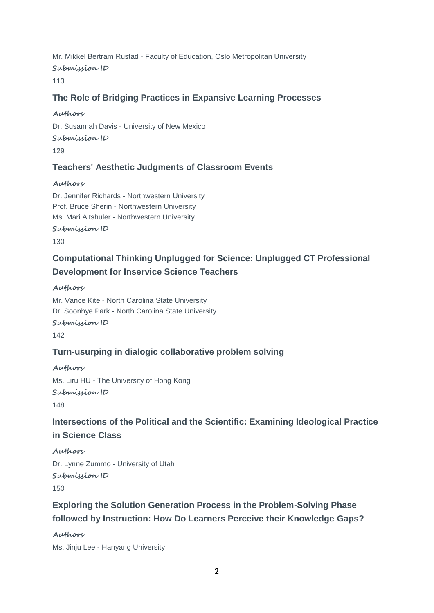Mr. Mikkel Bertram Rustad - Faculty of Education, Oslo Metropolitan University **Submission ID** 113

### **The Role of Bridging Practices in Expansive Learning Processes**

### **Authors**

Dr. Susannah Davis - University of New Mexico **Submission ID** 129

## **Teachers' Aesthetic Judgments of Classroom Events**

### **Authors**

Dr. Jennifer Richards - Northwestern University Prof. Bruce Sherin - Northwestern University Ms. Mari Altshuler - Northwestern University

**Submission ID**

130

# **Computational Thinking Unplugged for Science: Unplugged CT Professional Development for Inservice Science Teachers**

### **Authors**

Mr. Vance Kite - North Carolina State University Dr. Soonhye Park - North Carolina State University **Submission ID** 142

## **Turn-usurping in dialogic collaborative problem solving**

**Authors** Ms. Liru HU - The University of Hong Kong **Submission ID** 148

# **Intersections of the Political and the Scientific: Examining Ideological Practice in Science Class**

**Authors** Dr. Lynne Zummo - University of Utah **Submission ID** 150

# **Exploring the Solution Generation Process in the Problem-Solving Phase followed by Instruction: How Do Learners Perceive their Knowledge Gaps?**

**Authors**

Ms. Jinju Lee - Hanyang University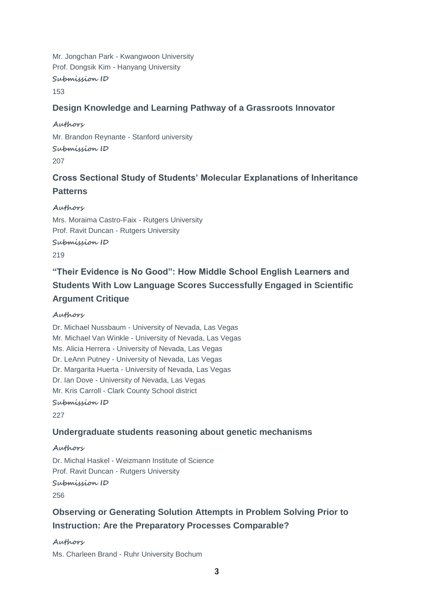Mr. Jongchan Park - Kwangwoon University Prof. Dongsik Kim - Hanyang University **Submission ID** 153

### **Design Knowledge and Learning Pathway of a Grassroots Innovator**

**Authors** Mr. Brandon Reynante - Stanford university **Submission ID** 207

# **Cross Sectional Study of Students' Molecular Explanations of Inheritance Patterns**

**Authors** Mrs. Moraima Castro-Faix - Rutgers University Prof. Ravit Duncan - Rutgers University

**Submission ID**

219

# **"Their Evidence is No Good": How Middle School English Learners and Students With Low Language Scores Successfully Engaged in Scientific Argument Critique**

### **Authors**

Dr. Michael Nussbaum - University of Nevada, Las Vegas Mr. Michael Van Winkle - University of Nevada, Las Vegas Ms. Alicia Herrera - University of Nevada, Las Vegas Dr. LeAnn Putney - University of Nevada, Las Vegas Dr. Margarita Huerta - University of Nevada, Las Vegas Dr. Ian Dove - University of Nevada, Las Vegas Mr. Kris Carroll - Clark County School district

**Submission ID**

227

### **Undergraduate students reasoning about genetic mechanisms**

### **Authors**

Dr. Michal Haskel - Weizmann Institute of Science Prof. Ravit Duncan - Rutgers University **Submission ID**

256

# **Observing or Generating Solution Attempts in Problem Solving Prior to Instruction: Are the Preparatory Processes Comparable?**

**Authors**

Ms. Charleen Brand - Ruhr University Bochum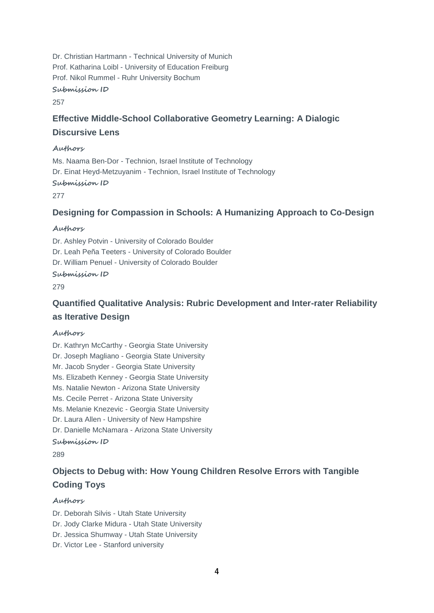Dr. Christian Hartmann - Technical University of Munich Prof. Katharina Loibl - University of Education Freiburg Prof. Nikol Rummel - Ruhr University Bochum

**Submission ID**

257

### **Effective Middle-School Collaborative Geometry Learning: A Dialogic Discursive Lens**

### **Authors**

Ms. Naama Ben-Dor - Technion, Israel Institute of Technology Dr. Einat Heyd-Metzuyanim - Technion, Israel Institute of Technology

### **Submission ID**

277

### **Designing for Compassion in Schools: A Humanizing Approach to Co-Design**

### **Authors**

Dr. Ashley Potvin - University of Colorado Boulder Dr. Leah Peña Teeters - University of Colorado Boulder Dr. William Penuel - University of Colorado Boulder

### **Submission ID**

279

# **Quantified Qualitative Analysis: Rubric Development and Inter-rater Reliability as Iterative Design**

### **Authors**

Dr. Kathryn McCarthy - Georgia State University Dr. Joseph Magliano - Georgia State University Mr. Jacob Snyder - Georgia State University Ms. Elizabeth Kenney - Georgia State University Ms. Natalie Newton - Arizona State University Ms. Cecile Perret - Arizona State University Ms. Melanie Knezevic - Georgia State University Dr. Laura Allen - University of New Hampshire Dr. Danielle McNamara - Arizona State University **Submission ID**

289

# **Objects to Debug with: How Young Children Resolve Errors with Tangible Coding Toys**

### **Authors**

Dr. Deborah Silvis - Utah State University Dr. Jody Clarke Midura - Utah State University Dr. Jessica Shumway - Utah State University

Dr. Victor Lee - Stanford university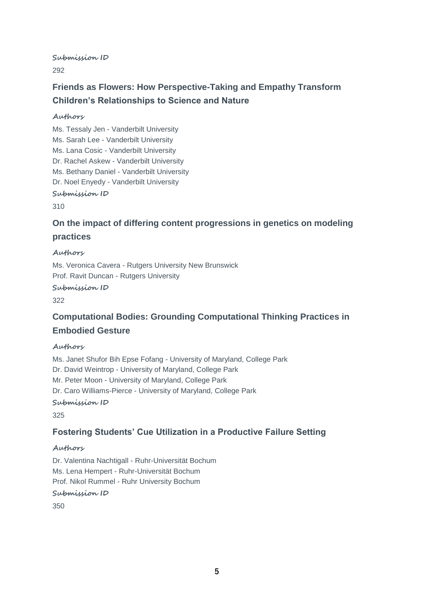**Submission ID**

292

# **Friends as Flowers: How Perspective-Taking and Empathy Transform Children's Relationships to Science and Nature**

### **Authors**

Ms. Tessaly Jen - Vanderbilt University Ms. Sarah Lee - Vanderbilt University Ms. Lana Cosic - Vanderbilt University Dr. Rachel Askew - Vanderbilt University Ms. Bethany Daniel - Vanderbilt University Dr. Noel Enyedy - Vanderbilt University

### **Submission ID**

310

# **On the impact of differing content progressions in genetics on modeling practices**

### **Authors**

Ms. Veronica Cavera - Rutgers University New Brunswick Prof. Ravit Duncan - Rutgers University

**Submission ID**

322

## **Computational Bodies: Grounding Computational Thinking Practices in Embodied Gesture**

### **Authors**

Ms. Janet Shufor Bih Epse Fofang - University of Maryland, College Park Dr. David Weintrop - University of Maryland, College Park Mr. Peter Moon - University of Maryland, College Park Dr. Caro Williams-Pierce - University of Maryland, College Park

### **Submission ID**

325

### **Fostering Students' Cue Utilization in a Productive Failure Setting**

### **Authors**

Dr. Valentina Nachtigall - Ruhr-Universität Bochum Ms. Lena Hempert - Ruhr-Universität Bochum Prof. Nikol Rummel - Ruhr University Bochum

**Submission ID**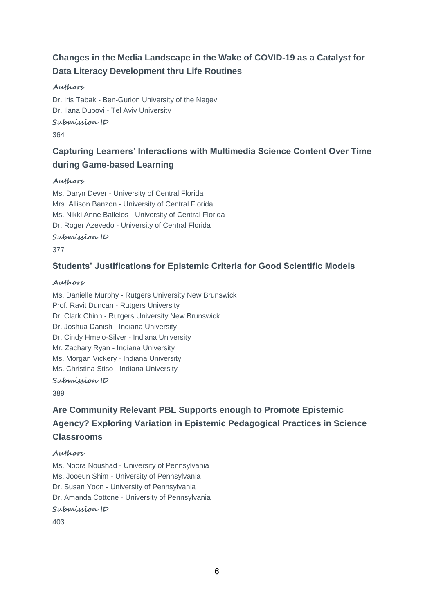# **Changes in the Media Landscape in the Wake of COVID-19 as a Catalyst for Data Literacy Development thru Life Routines**

### **Authors**

Dr. Iris Tabak - Ben-Gurion University of the Negev Dr. Ilana Dubovi - Tel Aviv University **Submission ID**

364

# **Capturing Learners' Interactions with Multimedia Science Content Over Time during Game-based Learning**

### **Authors**

Ms. Daryn Dever - University of Central Florida Mrs. Allison Banzon - University of Central Florida Ms. Nikki Anne Ballelos - University of Central Florida Dr. Roger Azevedo - University of Central Florida

### **Submission ID**

377

### **Students' Justifications for Epistemic Criteria for Good Scientific Models**

### **Authors**

Ms. Danielle Murphy - Rutgers University New Brunswick Prof. Ravit Duncan - Rutgers University Dr. Clark Chinn - Rutgers University New Brunswick Dr. Joshua Danish - Indiana University Dr. Cindy Hmelo-Silver - Indiana University Mr. Zachary Ryan - Indiana University Ms. Morgan Vickery - Indiana University Ms. Christina Stiso - Indiana University **Submission ID**

389

# **Are Community Relevant PBL Supports enough to Promote Epistemic Agency? Exploring Variation in Epistemic Pedagogical Practices in Science Classrooms**

### **Authors**

Ms. Noora Noushad - University of Pennsylvania Ms. Jooeun Shim - University of Pennsylvania Dr. Susan Yoon - University of Pennsylvania Dr. Amanda Cottone - University of Pennsylvania **Submission ID**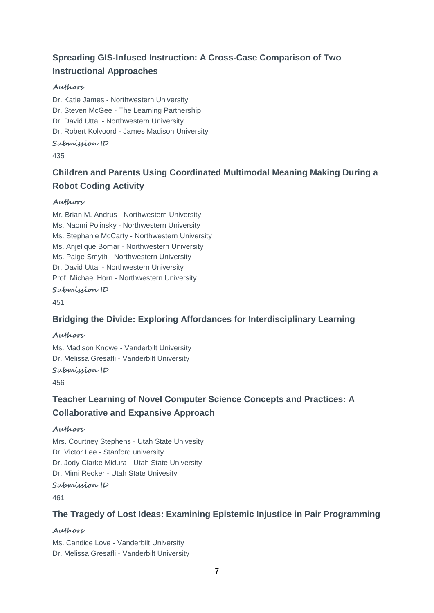# **Spreading GIS-Infused Instruction: A Cross-Case Comparison of Two Instructional Approaches**

### **Authors**

Dr. Katie James - Northwestern University Dr. Steven McGee - The Learning Partnership Dr. David Uttal - Northwestern University Dr. Robert Kolvoord - James Madison University **Submission ID** 435

# **Children and Parents Using Coordinated Multimodal Meaning Making During a Robot Coding Activity**

### **Authors**

Mr. Brian M. Andrus - Northwestern University Ms. Naomi Polinsky - Northwestern University Ms. Stephanie McCarty - Northwestern University Ms. Anjelique Bomar - Northwestern University Ms. Paige Smyth - Northwestern University Dr. David Uttal - Northwestern University Prof. Michael Horn - Northwestern University

### **Submission ID**

451

## **Bridging the Divide: Exploring Affordances for Interdisciplinary Learning**

### **Authors**

Ms. Madison Knowe - Vanderbilt University Dr. Melissa Gresafli - Vanderbilt University

# **Submission ID**

456

## **Teacher Learning of Novel Computer Science Concepts and Practices: A Collaborative and Expansive Approach**

### **Authors**

Mrs. Courtney Stephens - Utah State Univesity Dr. Victor Lee - Stanford university Dr. Jody Clarke Midura - Utah State University Dr. Mimi Recker - Utah State Univesity

### **Submission ID**

461

### **The Tragedy of Lost Ideas: Examining Epistemic Injustice in Pair Programming**

### **Authors**

Ms. Candice Love - Vanderbilt University Dr. Melissa Gresafli - Vanderbilt University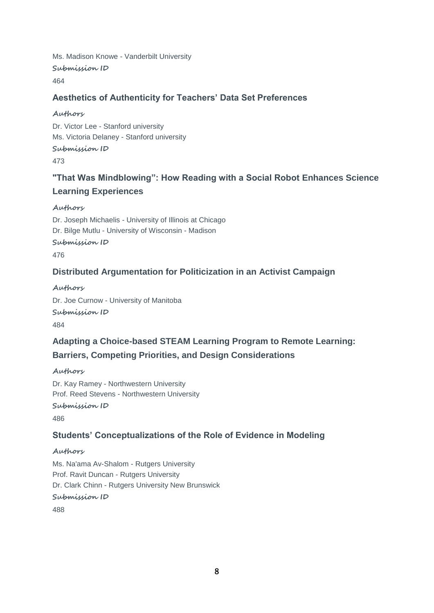Ms. Madison Knowe - Vanderbilt University **Submission ID** 464

### **Aesthetics of Authenticity for Teachers' Data Set Preferences**

### **Authors**

Dr. Victor Lee - Stanford university Ms. Victoria Delaney - Stanford university **Submission ID**

473

# **"That Was Mindblowing": How Reading with a Social Robot Enhances Science Learning Experiences**

### **Authors**

Dr. Joseph Michaelis - University of Illinois at Chicago Dr. Bilge Mutlu - University of Wisconsin - Madison

**Submission ID**

476

### **Distributed Argumentation for Politicization in an Activist Campaign**

**Authors**

Dr. Joe Curnow - University of Manitoba **Submission ID** 484

# **Adapting a Choice-based STEAM Learning Program to Remote Learning: Barriers, Competing Priorities, and Design Considerations**

**Authors**

Dr. Kay Ramey - Northwestern University Prof. Reed Stevens - Northwestern University **Submission ID**

486

### **Students' Conceptualizations of the Role of Evidence in Modeling**

### **Authors**

Ms. Na'ama Av-Shalom - Rutgers University Prof. Ravit Duncan - Rutgers University Dr. Clark Chinn - Rutgers University New Brunswick

**Submission ID**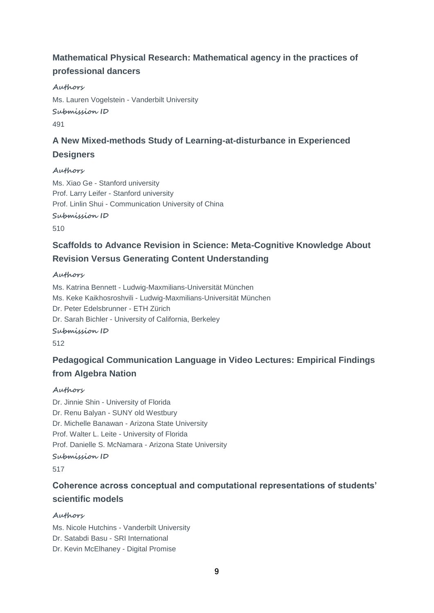# **Mathematical Physical Research: Mathematical agency in the practices of professional dancers**

### **Authors**

Ms. Lauren Vogelstein - Vanderbilt University **Submission ID** 491

# **A New Mixed-methods Study of Learning-at-disturbance in Experienced Designers**

### **Authors**

Ms. Xiao Ge - Stanford university Prof. Larry Leifer - Stanford university Prof. Linlin Shui - Communication University of China **Submission ID**

510

# **Scaffolds to Advance Revision in Science: Meta-Cognitive Knowledge About Revision Versus Generating Content Understanding**

### **Authors**

Ms. Katrina Bennett - Ludwig-Maxmilians-Universität München Ms. Keke Kaikhosroshvili - Ludwig-Maxmilians-Universität München Dr. Peter Edelsbrunner - ETH Zürich Dr. Sarah Bichler - University of California, Berkeley

### **Submission ID**

512

# **Pedagogical Communication Language in Video Lectures: Empirical Findings from Algebra Nation**

### **Authors**

Dr. Jinnie Shin - University of Florida Dr. Renu Balyan - SUNY old Westbury Dr. Michelle Banawan - Arizona State University Prof. Walter L. Leite - University of Florida Prof. Danielle S. McNamara - Arizona State University **Submission ID**

517

# **Coherence across conceptual and computational representations of students' scientific models**

### **Authors**

Ms. Nicole Hutchins - Vanderbilt University Dr. Satabdi Basu - SRI International Dr. Kevin McElhaney - Digital Promise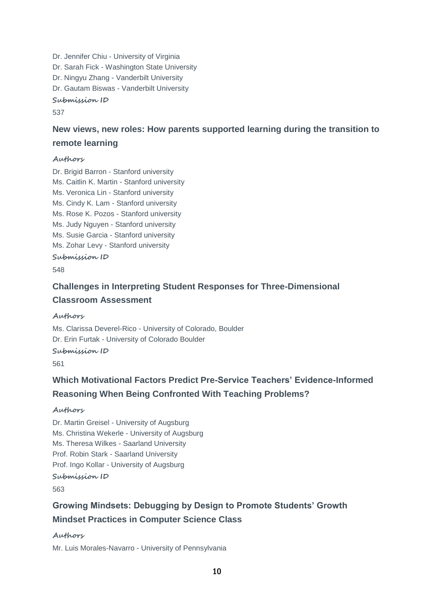Dr. Jennifer Chiu - University of Virginia Dr. Sarah Fick - Washington State University Dr. Ningyu Zhang - Vanderbilt University Dr. Gautam Biswas - Vanderbilt University **Submission ID**

537

# **New views, new roles: How parents supported learning during the transition to remote learning**

### **Authors**

Dr. Brigid Barron - Stanford university Ms. Caitlin K. Martin - Stanford university Ms. Veronica Lin - Stanford university Ms. Cindy K. Lam - Stanford university Ms. Rose K. Pozos - Stanford university Ms. Judy Nguyen - Stanford university Ms. Susie Garcia - Stanford university Ms. Zohar Levy - Stanford university **Submission ID**

548

# **Challenges in Interpreting Student Responses for Three-Dimensional Classroom Assessment**

**Authors**

Ms. Clarissa Deverel-Rico - University of Colorado, Boulder Dr. Erin Furtak - University of Colorado Boulder **Submission ID**

561

# **Which Motivational Factors Predict Pre-Service Teachers' Evidence-Informed Reasoning When Being Confronted With Teaching Problems?**

#### **Authors**

Dr. Martin Greisel - University of Augsburg Ms. Christina Wekerle - University of Augsburg Ms. Theresa Wilkes - Saarland University Prof. Robin Stark - Saarland University Prof. Ingo Kollar - University of Augsburg

**Submission ID**

563

# **Growing Mindsets: Debugging by Design to Promote Students' Growth Mindset Practices in Computer Science Class**

**Authors**

Mr. Luis Morales-Navarro - University of Pennsylvania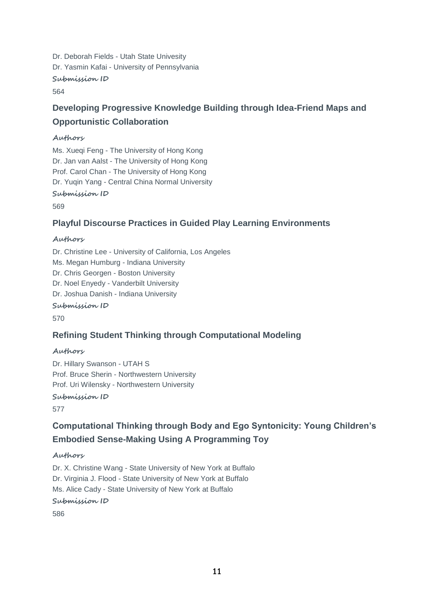Dr. Deborah Fields - Utah State Univesity Dr. Yasmin Kafai - University of Pennsylvania **Submission ID** 564

# **Developing Progressive Knowledge Building through Idea-Friend Maps and Opportunistic Collaboration**

### **Authors**

Ms. Xueqi Feng - The University of Hong Kong Dr. Jan van Aalst - The University of Hong Kong Prof. Carol Chan - The University of Hong Kong Dr. Yuqin Yang - Central China Normal University **Submission ID**

569

### **Playful Discourse Practices in Guided Play Learning Environments**

### **Authors**

Dr. Christine Lee - University of California, Los Angeles Ms. Megan Humburg - Indiana University Dr. Chris Georgen - Boston University Dr. Noel Enyedy - Vanderbilt University Dr. Joshua Danish - Indiana University **Submission ID**

570

### **Refining Student Thinking through Computational Modeling**

### **Authors**

Dr. Hillary Swanson - UTAH S Prof. Bruce Sherin - Northwestern University Prof. Uri Wilensky - Northwestern University

**Submission ID**

577

# **Computational Thinking through Body and Ego Syntonicity: Young Children's Embodied Sense-Making Using A Programming Toy**

### **Authors**

Dr. X. Christine Wang - State University of New York at Buffalo Dr. Virginia J. Flood - State University of New York at Buffalo Ms. Alice Cady - State University of New York at Buffalo

**Submission ID**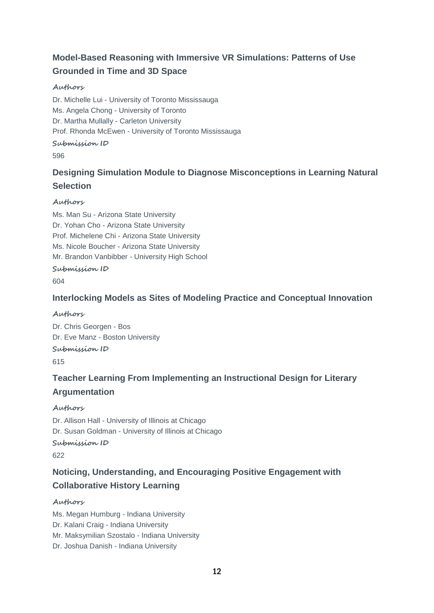# **Model-Based Reasoning with Immersive VR Simulations: Patterns of Use Grounded in Time and 3D Space**

### **Authors**

Dr. Michelle Lui - University of Toronto Mississauga Ms. Angela Chong - University of Toronto Dr. Martha Mullally - Carleton University Prof. Rhonda McEwen - University of Toronto Mississauga **Submission ID** 596

# **Designing Simulation Module to Diagnose Misconceptions in Learning Natural Selection**

### **Authors**

Ms. Man Su - Arizona State University Dr. Yohan Cho - Arizona State University Prof. Michelene Chi - Arizona State University Ms. Nicole Boucher - Arizona State University Mr. Brandon Vanbibber - University High School **Submission ID**

604

### **Interlocking Models as Sites of Modeling Practice and Conceptual Innovation**

### **Authors**

Dr. Chris Georgen - Bos Dr. Eve Manz - Boston University **Submission ID** 615

# **Teacher Learning From Implementing an Instructional Design for Literary Argumentation**

### **Authors**

Dr. Allison Hall - University of Illinois at Chicago Dr. Susan Goldman - University of Illinois at Chicago **Submission ID**

622

# **Noticing, Understanding, and Encouraging Positive Engagement with Collaborative History Learning**

### **Authors**

Ms. Megan Humburg - Indiana University Dr. Kalani Craig - Indiana University Mr. Maksymilian Szostalo - Indiana University Dr. Joshua Danish - Indiana University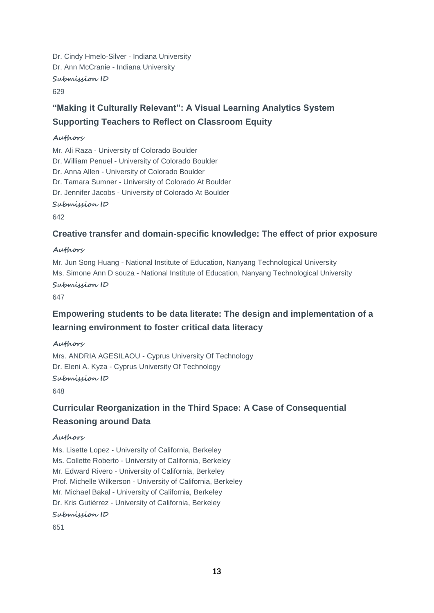Dr. Cindy Hmelo-Silver - Indiana University Dr. Ann McCranie - Indiana University **Submission ID** 629

# **"Making it Culturally Relevant": A Visual Learning Analytics System Supporting Teachers to Reflect on Classroom Equity**

### **Authors**

Mr. Ali Raza - University of Colorado Boulder Dr. William Penuel - University of Colorado Boulder Dr. Anna Allen - University of Colorado Boulder Dr. Tamara Sumner - University of Colorado At Boulder Dr. Jennifer Jacobs - University of Colorado At Boulder **Submission ID**

642

### **Creative transfer and domain-specific knowledge: The effect of prior exposure**

### **Authors**

Mr. Jun Song Huang - National Institute of Education, Nanyang Technological University Ms. Simone Ann D souza - National Institute of Education, Nanyang Technological University **Submission ID**

647

# **Empowering students to be data literate: The design and implementation of a learning environment to foster critical data literacy**

### **Authors**

Mrs. ANDRIA AGESILAOU - Cyprus University Of Technology Dr. Eleni A. Kyza - Cyprus University Of Technology **Submission ID** 648

# **Curricular Reorganization in the Third Space: A Case of Consequential Reasoning around Data**

### **Authors**

Ms. Lisette Lopez - University of California, Berkeley Ms. Collette Roberto - University of California, Berkeley Mr. Edward Rivero - University of California, Berkeley Prof. Michelle Wilkerson - University of California, Berkeley Mr. Michael Bakal - University of California, Berkeley Dr. Kris Gutiérrez - University of California, Berkeley

**Submission ID**